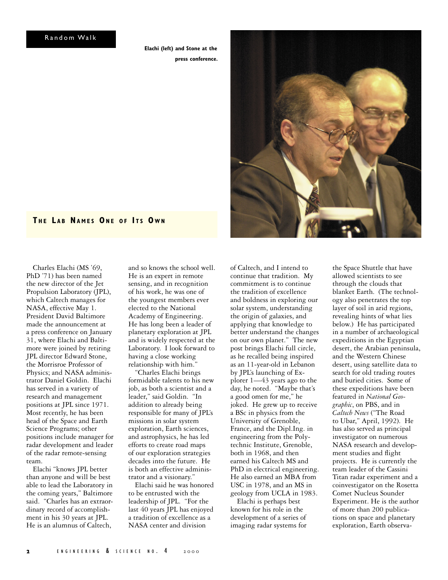**Elachi (left) and Stone at the press conference.**



### **T H E L A B NA M E S ON E O F I T S O W N**

Charles Elachi (MS '69, PhD '71) has been named the new director of the Jet Propulsion Laboratory (JPL), which Caltech manages for NASA, effective May 1. President David Baltimore made the announcement at a press conference on January 31, where Elachi and Baltimore were joined by retiring JPL director Edward Stone, the Morrisroe Professor of Physics; and NASA administrator Daniel Goldin. Elachi has served in a variety of research and management positions at JPL since 1971. Most recently, he has been head of the Space and Earth Science Programs; other positions include manager for radar development and leader of the radar remote-sensing team.

Elachi "knows JPL better than anyone and will be best able to lead the Laboratory in the coming years," Baltimore said. "Charles has an extraordinary record of accomplishment in his 30 years at JPL. He is an alumnus of Caltech,

and so knows the school well. He is an expert in remote sensing, and in recognition of his work, he was one of the youngest members ever elected to the National Academy of Engineering. He has long been a leader of planetary exploration at JPL and is widely respected at the Laboratory. I look forward to having a close working relationship with him."

"Charles Elachi brings formidable talents to his new job, as both a scientist and a leader," said Goldin. "In addition to already being responsible for many of JPL's missions in solar system exploration, Earth sciences, and astrophysics, he has led efforts to create road maps of our exploration strategies decades into the future. He is both an effective administrator and a visionary."

Elachi said he was honored to be entrusted with the leadership of JPL. "For the last 40 years JPL has enjoyed a tradition of excellence as a NASA center and division

of Caltech, and I intend to continue that tradition. My commitment is to continue the tradition of excellence and boldness in exploring our solar system, understanding the origin of galaxies, and applying that knowledge to better understand the changes on our own planet." The new post brings Elachi full circle, as he recalled being inspired as an 11-year-old in Lebanon by JPL's launching of Explorer 1—43 years ago to the day, he noted. "Maybe that's a good omen for me," he joked. He grew up to receive a BSc in physics from the University of Grenoble, France, and the Dipl.Ing. in engineering from the Polytechnic Institute, Grenoble, both in 1968, and then earned his Caltech MS and PhD in electrical engineering. He also earned an MBA from USC in 1978, and an MS in geology from UCLA in 1983.

Elachi is perhaps best known for his role in the development of a series of imaging radar systems for

the Space Shuttle that have allowed scientists to see through the clouds that blanket Earth. (The technology also penetrates the top layer of soil in arid regions, revealing hints of what lies below.) He has participated in a number of archaeological expeditions in the Egyptian desert, the Arabian peninsula, and the Western Chinese desert, using satellite data to search for old trading routes and buried cities. Some of these expeditions have been featured in *National Geographic*, on PBS, and in *Caltech News* ("The Road to Ubar," April, 1992). He has also served as principal investigator on numerous NASA research and development studies and flight projects. He is currently the team leader of the Cassini Titan radar experiment and a coinvestigator on the Rosetta Comet Nucleus Sounder Experiment. He is the author of more than 200 publications on space and planetary exploration, Earth observa-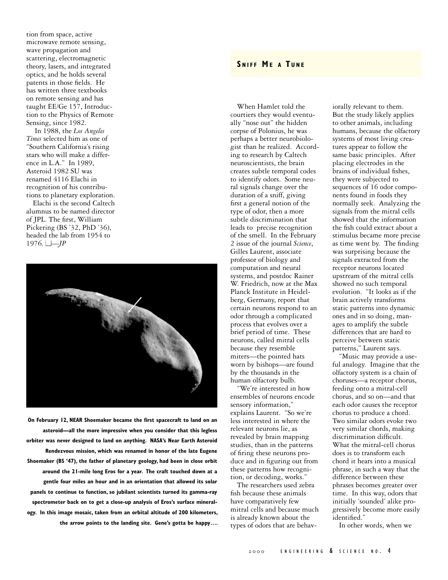tion from space, active microwave remote sensing, wave propagation and scattering, electromagnetic theory, lasers, and integrated optics, and he holds several patents in those fields. He has written three textbooks on remote sensing and has taught EE/Ge 157, Introduction to the Physics of Remote Sensing, since 1982.

 In 1988, the *Los Angeles Times* selected him as one of "Southern California's rising stars who will make a difference in L.A." In 1989, Asteroid 1982 SU was renamed 4116 Elachi in recognition of his contributions to planetary exploration.

Elachi is the second Caltech alumnus to be named director of JPL. The first, William Pickering (BS '32, PhD '36), headed the lab from 1954 to 1976.  $\Box - JP$ 



**On February 12, NEAR Shoemaker became the first spacecraft to land on an asteroid—all the more impressive when you consider that this legless orbiter was never designed to land on anything. NASA's Near Earth Asteroid Rendezvous mission, which was renamed in honor of the late Eugene Shoemaker (BS '47), the father of planetary geology, had been in close orbit around the 21-mile long Eros for a year. The craft touched down at a gentle four miles an hour and in an orientation that allowed its solar panels to continue to function, so jubilant scientists turned its gamma-ray spectrometer back on to get a close-up analysis of Eros's surface mineralogy. In this image mosaic, taken from an orbital altitude of 200 kilometers, the arrow points to the landing site. Gene's gotta be happy….**

# **SNIFE ME A TUNE**

When Hamlet told the courtiers they would eventually "nose out" the hidden corpse of Polonius, he was perhaps a better neurobiologist than he realized. According to research by Caltech neuroscientists, the brain creates subtle temporal codes to identify odors. Some neural signals change over the duration of a sniff, giving first a general notion of the type of odor, then a more subtle discrimination that leads to precise recognition of the smell. In the February 2 issue of the journal *Science*, Gilles Laurent, associate professor of biology and computation and neural systems, and postdoc Rainer W. Friedrich, now at the Max Planck Institute in Heidelberg, Germany, report that certain neurons respond to an odor through a complicated process that evolves over a brief period of time. These neurons, called mitral cells because they resemble miters—the pointed hats worn by bishops—are found by the thousands in the human olfactory bulb.

"We're interested in how ensembles of neurons encode sensory information," explains Laurent. "So we're less interested in where the relevant neurons lie, as revealed by brain mapping studies, than in the patterns of firing these neurons produce and in figuring out from these patterns how recognition, or decoding, works."

The researchers used zebra fish because these animals have comparatively few mitral cells and because much is already known about the types of odors that are behaviorally relevant to them. But the study likely applies to other animals, including humans, because the olfactory systems of most living creatures appear to follow the same basic principles. After placing electrodes in the brains of individual fishes, they were subjected to sequences of 16 odor components found in foods they normally seek. Analyzing the signals from the mitral cells showed that the information the fish could extract about a stimulus became more precise as time went by. The finding was surprising because the signals extracted from the receptor neurons located upstream of the mitral cells showed no such temporal evolution. "It looks as if the brain actively transforms static patterns into dynamic ones and in so doing, manages to amplify the subtle differences that are hard to perceive between static patterns," Laurent says.

"Music may provide a useful analogy. Imagine that the olfactory system is a chain of choruses—a receptor chorus, feeding onto a mitral-cell chorus, and so on—and that each odor causes the receptor chorus to produce a chord. Two similar odors evoke two very similar chords, making discrimination difficult. What the mitral-cell chorus does is to transform each chord it hears into a musical phrase, in such a way that the difference between these phrases becomes greater over time. In this way, odors that initially 'sounded' alike progressively become more easily identified."

In other words, when we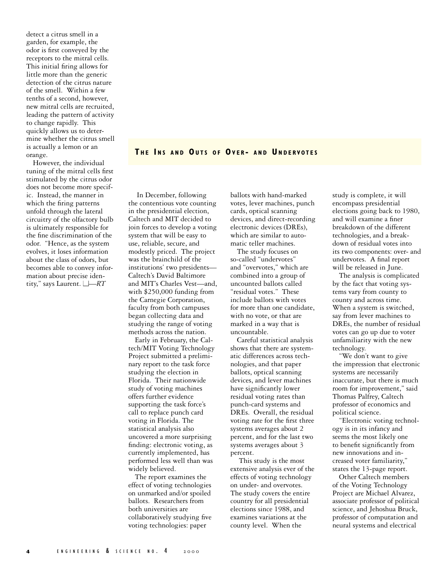detect a citrus smell in a garden, for example, the odor is first conveyed by the receptors to the mitral cells. This initial firing allows for little more than the generic detection of the citrus nature of the smell. Within a few tenths of a second, however, new mitral cells are recruited, leading the pattern of activity to change rapidly. This quickly allows us to determine whether the citrus smell is actually a lemon or an orange.

However, the individual tuning of the mitral cells first stimulated by the citrus odor does not become more specific. Instead, the manner in which the firing patterns unfold through the lateral circuitry of the olfactory bulb is ultimately responsible for the fine discrimination of the odor. "Hence, as the system evolves, it loses information about the class of odors, but becomes able to convey information about precise identity," says Laurent. ■—*RT*

**T H E I N S A N D OU T S O F OV E R - A N D U N D E RVOT E S**

 In December, following the contentious vote counting in the presidential election, Caltech and MIT decided to join forces to develop a voting system that will be easy to use, reliable, secure, and modestly priced. The project was the brainchild of the institutions' two presidents— Caltech's David Baltimore and MIT's Charles Vest—and, with \$250,000 funding from the Carnegie Corporation, faculty from both campuses began collecting data and studying the range of voting methods across the nation.

Early in February, the Caltech/MIT Voting Technology Project submitted a preliminary report to the task force studying the election in Florida. Their nationwide study of voting machines offers further evidence supporting the task force's call to replace punch card voting in Florida. The statistical analysis also uncovered a more surprising finding: electronic voting, as currently implemented, has performed less well than was widely believed.

The report examines the effect of voting technologies on unmarked and/or spoiled ballots. Researchers from both universities are collaboratively studying five voting technologies: paper

ballots with hand-marked votes, lever machines, punch cards, optical scanning devices, and direct-recording electronic devices (DREs), which are similar to automatic teller machines.

The study focuses on so-called "undervotes" and "overvotes," which are combined into a group of uncounted ballots called "residual votes." These include ballots with votes for more than one candidate, with no vote, or that are marked in a way that is uncountable.

Careful statistical analysis shows that there are systematic differences across technologies, and that paper ballots, optical scanning devices, and lever machines have significantly lower residual voting rates than punch-card systems and DREs. Overall, the residual voting rate for the first three systems averages about 2 percent, and for the last two systems averages about 3 percent.

 This study is the most extensive analysis ever of the effects of voting technology on under- and overvotes. The study covers the entire country for all presidential elections since 1988, and examines variations at the county level. When the

study is complete, it will encompass presidential elections going back to 1980, and will examine a finer breakdown of the different technologies, and a breakdown of residual votes into its two components: over- and undervotes. A final report will be released in June.

The analysis is complicated by the fact that voting systems vary from county to county and across time. When a system is switched, say from lever machines to DREs, the number of residual votes can go up due to voter unfamiliarity with the new technology.

"We don't want to give the impression that electronic systems are necessarily inaccurate, but there is much room for improvement," said Thomas Palfrey, Caltech professor of economics and political science.

"Electronic voting technology is in its infancy and seems the most likely one to benefit significantly from new innovations and increased voter familiarity," states the 13-page report.

Other Caltech members of the Voting Technology Project are Michael Alvarez, associate professor of political science, and Jehoshua Bruck, professor of computation and neural systems and electrical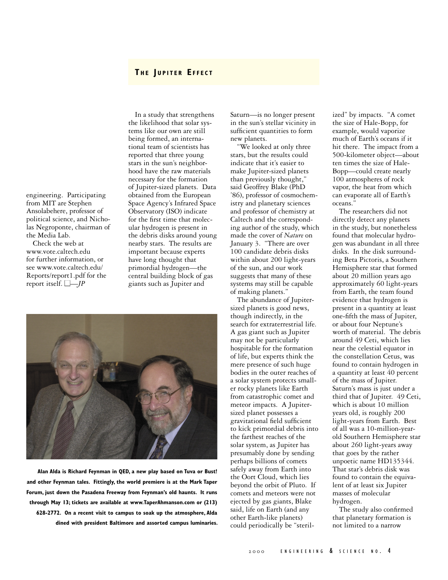# **T H E J U P I T E R E F F E C T**

engineering. Participating from MIT are Stephen Ansolabehere, professor of political science, and Nicholas Negroponte, chairman of the Media Lab.

Check the web at www.vote.caltech.edu for further information, or see www.vote.caltech.edu/ Reports/report1.pdf for the report itself.  $\Box$ *-JP* 

In a study that strengthens the likelihood that solar systems like our own are still being formed, an international team of scientists has reported that three young stars in the sun's neighborhood have the raw materials necessary for the formation of Jupiter-sized planets. Data obtained from the European Space Agency's Infrared Space Observatory (ISO) indicate for the first time that molecular hydrogen is present in the debris disks around young nearby stars. The results are important because experts have long thought that primordial hydrogen—the central building block of gas giants such as Jupiter and



**Alan Alda is Richard Feynman in QED, a new play based on Tuva or Bust! and other Feynman tales. Fittingly, the world premiere is at the Mark Taper Forum, just down the Pasadena Freeway from Feynman's old haunts. It runs through May 13; tickets are available at www.TaperAhmanson.com or (213) 628-2772. On a recent visit to campus to soak up the atmosphere, Alda dined with president Baltimore and assorted campus luminaries.**  Saturn—is no longer present in the sun's stellar vicinity in sufficient quantities to form new planets.

"We looked at only three stars, but the results could indicate that it's easier to make Jupiter-sized planets than previously thought," said Geoffrey Blake (PhD '86), professor of cosmochemistry and planetary sciences and professor of chemistry at Caltech and the corresponding author of the study, which made the cover of *Nature* on January 3. "There are over 100 candidate debris disks within about 200 light-years of the sun, and our work suggests that many of these systems may still be capable of making planets."

The abundance of Jupitersized planets is good news, though indirectly, in the search for extraterrestrial life. A gas giant such as Jupiter may not be particularly hospitable for the formation of life, but experts think the mere presence of such huge bodies in the outer reaches of a solar system protects smaller rocky planets like Earth from catastrophic comet and meteor impacts. A Jupitersized planet possesses a gravitational field sufficient to kick primordial debris into the farthest reaches of the solar system, as Jupiter has presumably done by sending perhaps billions of comets safely away from Earth into the Oort Cloud, which lies beyond the orbit of Pluto. If comets and meteors were not ejected by gas giants, Blake said, life on Earth (and any other Earth-like planets) could periodically be "sterilized" by impacts. "A comet the size of Hale-Bopp, for example, would vaporize much of Earth's oceans if it hit there. The impact from a 500-kilometer object—about ten times the size of Hale-Bopp—could create nearly 100 atmospheres of rock vapor, the heat from which can evaporate all of Earth's oceans."

The researchers did not directly detect any planets in the study, but nonetheless found that molecular hydrogen was abundant in all three disks. In the disk surrounding Beta Pictoris, a Southern Hemisphere star that formed about 20 million years ago approximately 60 light-years from Earth, the team found evidence that hydrogen is present in a quantity at least one-fifth the mass of Jupiter, or about four Neptune's worth of material. The debris around 49 Ceti, which lies near the celestial equator in the constellation Cetus, was found to contain hydrogen in a quantity at least 40 percent of the mass of Jupiter. Saturn's mass is just under a third that of Jupiter. 49 Ceti, which is about 10 million years old, is roughly 200 light-years from Earth. Best of all was a 10-million-yearold Southern Hemisphere star about 260 light-years away that goes by the rather unpoetic name HD135344. That star's debris disk was found to contain the equivalent of at least six Jupiter masses of molecular hydrogen.

The study also confirmed that planetary formation is not limited to a narrow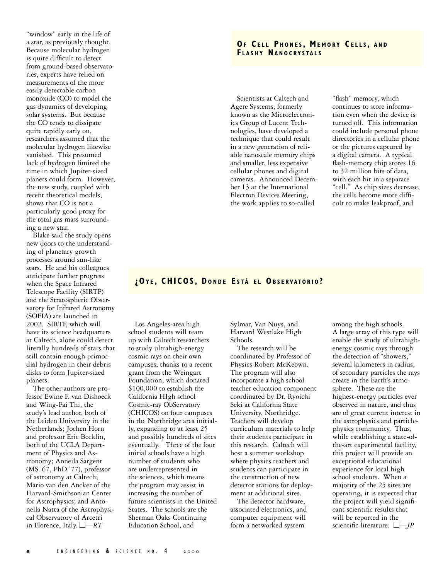"window" early in the life of a star, as previously thought. Because molecular hydrogen is quite difficult to detect from ground-based observatories, experts have relied on measurements of the more easily detectable carbon monoxide (CO) to model the gas dynamics of developing solar systems. But because the CO tends to dissipate quite rapidly early on, researchers assumed that the molecular hydrogen likewise vanished. This presumed lack of hydrogen limited the time in which Jupiter-sized planets could form. However, the new study, coupled with recent theoretical models, shows that CO is not a particularly good proxy for the total gas mass surrounding a new star.

Blake said the study opens new doors to the understanding of planetary growth processes around sun-like stars. He and his colleagues anticipate further progress when the Space Infrared Telescope Facility (SIRTF) and the Stratospheric Observatory for Infrared Astronomy (SOFIA) are launched in 2002. SIRTF, which will have its science headquarters at Caltech, alone could detect literally hundreds of stars that still contain enough primordial hydrogen in their debris disks to form Jupiter-sized planets.

The other authors are professor Ewine F. van Dishoeck and Wing-Fai Thi, the study's lead author, both of the Leiden University in the Netherlands; Jochen Horn and professor Eric Becklin, both of the UCLA Department of Physics and Astronomy; Anneila Sargent (MS '67, PhD '77), professor of astronomy at Caltech; Mario van den Ancker of the Harvard-Smithsonian Center for Astrophysics; and Antonella Natta of the Astrophysical Observatory of Arcetri in Florence, Italy.  $\Box - RT$ 

# **OF CELL PHONES, MEMORY CELLS, AND F L A S H Y NA N O C RY S TA L S**

Scientists at Caltech and Agere Systems, formerly known as the Microelectronics Group of Lucent Technologies, have developed a technique that could result in a new generation of reliable nanoscale memory chips and smaller, less expensive cellular phones and digital cameras. Announced December 13 at the International Electron Devices Meeting, the work applies to so-called

"flash" memory, which continues to store information even when the device is turned off. This information could include personal phone directories in a cellular phone or the pictures captured by a digital camera. A typical flash-memory chip stores 16 to 32 million bits of data, with each bit in a separate "cell." As chip sizes decrease, the cells become more difficult to make leakproof, and

### **¿OY E , CHICOS, D O N D E E S T Á E L OB S E RVATO R I O ?**

Los Angeles-area high school students will team up with Caltech researchers to study ultrahigh-energy cosmic rays on their own campuses, thanks to a recent grant from the Weingart Foundation, which donated \$100,000 to establish the California HIgh school Cosmic-ray ObServatory (CHICOS) on four campuses in the Northridge area initially, expanding to at least 25 and possibly hundreds of sites eventually. Three of the four initial schools have a high number of students who are underrepresented in the sciences, which means the program may assist in increasing the number of future scientists in the United States. The schools are the Sherman Oaks Continuing Education School, and

Sylmar, Van Nuys, and Harvard Westlake High Schools.

The research will be coordinated by Professor of Physics Robert McKeown. The program will also incorporate a high school teacher education component coordinated by Dr. Ryoichi Seki at California State University, Northridge. Teachers will develop curriculum materials to help their students participate in this research. Caltech will host a summer workshop where physics teachers and students can participate in the construction of new detector stations for deployment at additional sites.

The detector hardware, associated electronics, and computer equipment will form a networked system

among the high schools. A large array of this type will enable the study of ultrahighenergy cosmic rays through the detection of "showers," several kilometers in radius, of secondary particles the rays create in the Earth's atmosphere. These are the highest-energy particles ever observed in nature, and thus are of great current interest in the astrophysics and particlephysics community. Thus, while establishing a state-ofthe-art experimental facility, this project will provide an exceptional educational experience for local high school students. When a majority of the 25 sites are operating, it is expected that the project will yield significant scientific results that will be reported in the scientific literature. ■—*JP*